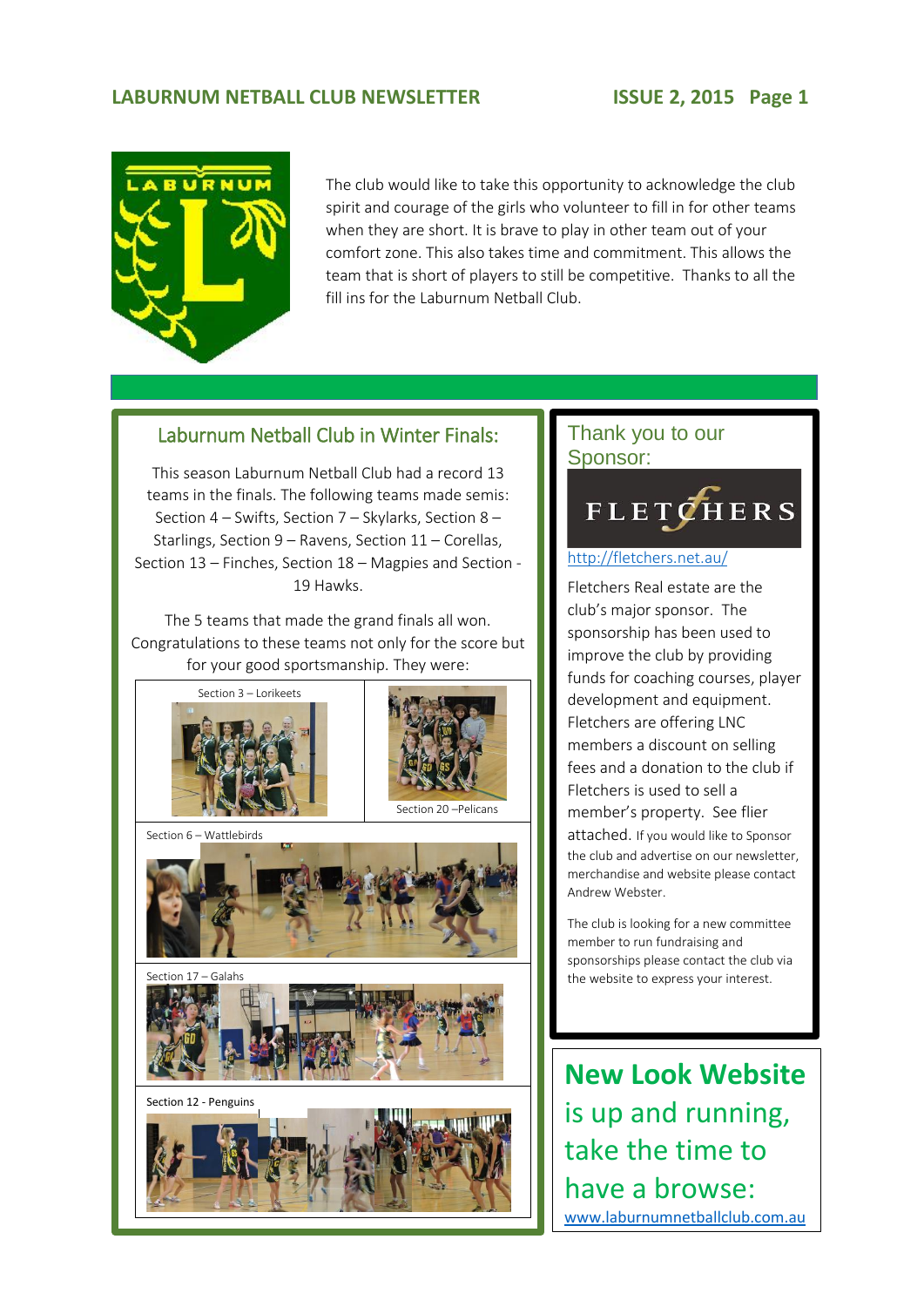### LABURNUM NETBALL CLUB NEWSLETTER **ISSUE 2, 2015** Page 1



The club would like to take this opportunity to acknowledge the club spirit and courage of the girls who volunteer to fill in for other teams when they are short. It is brave to play in other team out of your comfort zone. This also takes time and commitment. This allows the team that is short of players to still be competitive. Thanks to all the fill ins for the Laburnum Netball Club.

3.

### Laburnum Netball Club in Winter Finals:

This season Laburnum Netball Club had a record 13 teams in the finals. The following teams made semis: Section 4 – Swifts, Section 7 – Skylarks, Section 8 – Starlings, Section 9 – Ravens, Section 11 – Corellas, Section 13 – Finches, Section 18 – Magpies and Section - 19 Hawks.

The 5 teams that made the grand finals all won. Congratulations to these teams not only for the score but for your good sportsmanship. They were:









### Thank you to our Sponsor:



#### <http://fletchers.net.au/>

Fletchers Real estate are the club's major sponsor. The sponsorship has been used to improve the club by providing funds for coaching courses, player development and equipment. Fletchers are offering LNC members a discount on selling fees and a donation to the club if Fletchers is used to sell a member's property. See flier attached. If you would like to Sponsor the club and advertise on our newsletter, merchandise and website please contact Andrew Webster.

The club is looking for a new committee member to run fundraising and sponsorships please contact the club via the website to express your interest.

**New Look Website**  is up and running, take the time to have a browse: [www.laburnumnetballclub.com.au](http://www.laburnumnetballclub.com.au/)